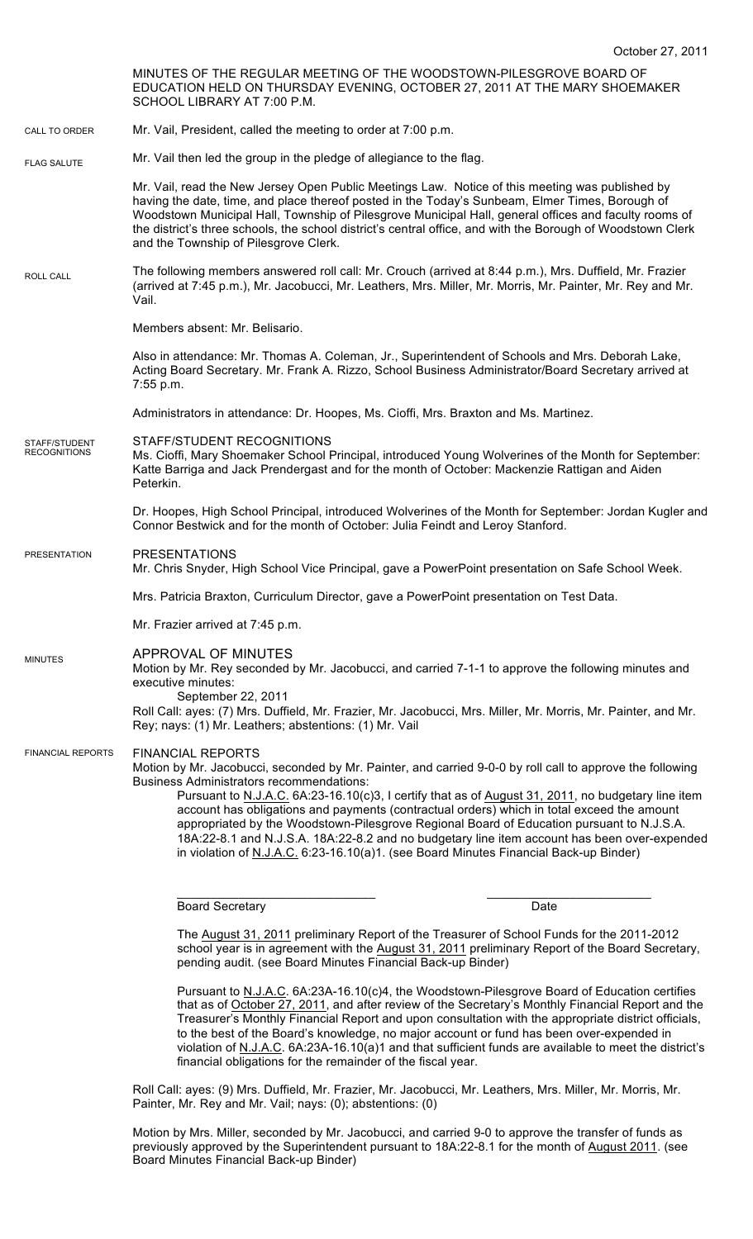|                                      | October 27, 2011                                                                                                                                                                                                                                                                                                                                                                                                                                                                                                                                                                                                                                                                   |  |
|--------------------------------------|------------------------------------------------------------------------------------------------------------------------------------------------------------------------------------------------------------------------------------------------------------------------------------------------------------------------------------------------------------------------------------------------------------------------------------------------------------------------------------------------------------------------------------------------------------------------------------------------------------------------------------------------------------------------------------|--|
|                                      | MINUTES OF THE REGULAR MEETING OF THE WOODSTOWN-PILESGROVE BOARD OF<br>EDUCATION HELD ON THURSDAY EVENING, OCTOBER 27, 2011 AT THE MARY SHOEMAKER<br>SCHOOL LIBRARY AT 7:00 P.M.                                                                                                                                                                                                                                                                                                                                                                                                                                                                                                   |  |
| CALL TO ORDER                        | Mr. Vail, President, called the meeting to order at 7:00 p.m.                                                                                                                                                                                                                                                                                                                                                                                                                                                                                                                                                                                                                      |  |
| <b>FLAG SALUTE</b>                   | Mr. Vail then led the group in the pledge of allegiance to the flag.                                                                                                                                                                                                                                                                                                                                                                                                                                                                                                                                                                                                               |  |
|                                      | Mr. Vail, read the New Jersey Open Public Meetings Law. Notice of this meeting was published by<br>having the date, time, and place thereof posted in the Today's Sunbeam, Elmer Times, Borough of<br>Woodstown Municipal Hall, Township of Pilesgrove Municipal Hall, general offices and faculty rooms of<br>the district's three schools, the school district's central office, and with the Borough of Woodstown Clerk<br>and the Township of Pilesgrove Clerk.                                                                                                                                                                                                                |  |
| ROLL CALL                            | The following members answered roll call: Mr. Crouch (arrived at 8:44 p.m.), Mrs. Duffield, Mr. Frazier<br>(arrived at 7:45 p.m.), Mr. Jacobucci, Mr. Leathers, Mrs. Miller, Mr. Morris, Mr. Painter, Mr. Rey and Mr.<br>Vail.                                                                                                                                                                                                                                                                                                                                                                                                                                                     |  |
|                                      | Members absent: Mr. Belisario.                                                                                                                                                                                                                                                                                                                                                                                                                                                                                                                                                                                                                                                     |  |
|                                      | Also in attendance: Mr. Thomas A. Coleman, Jr., Superintendent of Schools and Mrs. Deborah Lake,<br>Acting Board Secretary. Mr. Frank A. Rizzo, School Business Administrator/Board Secretary arrived at<br>7:55 p.m.                                                                                                                                                                                                                                                                                                                                                                                                                                                              |  |
|                                      | Administrators in attendance: Dr. Hoopes, Ms. Cioffi, Mrs. Braxton and Ms. Martinez.                                                                                                                                                                                                                                                                                                                                                                                                                                                                                                                                                                                               |  |
| STAFF/STUDENT<br><b>RECOGNITIONS</b> | STAFF/STUDENT RECOGNITIONS<br>Ms. Cioffi, Mary Shoemaker School Principal, introduced Young Wolverines of the Month for September:<br>Katte Barriga and Jack Prendergast and for the month of October: Mackenzie Rattigan and Aiden<br>Peterkin.                                                                                                                                                                                                                                                                                                                                                                                                                                   |  |
|                                      | Dr. Hoopes, High School Principal, introduced Wolverines of the Month for September: Jordan Kugler and<br>Connor Bestwick and for the month of October: Julia Feindt and Leroy Stanford.                                                                                                                                                                                                                                                                                                                                                                                                                                                                                           |  |
| <b>PRESENTATION</b>                  | <b>PRESENTATIONS</b><br>Mr. Chris Snyder, High School Vice Principal, gave a PowerPoint presentation on Safe School Week.                                                                                                                                                                                                                                                                                                                                                                                                                                                                                                                                                          |  |
|                                      | Mrs. Patricia Braxton, Curriculum Director, gave a PowerPoint presentation on Test Data.                                                                                                                                                                                                                                                                                                                                                                                                                                                                                                                                                                                           |  |
|                                      | Mr. Frazier arrived at 7:45 p.m.                                                                                                                                                                                                                                                                                                                                                                                                                                                                                                                                                                                                                                                   |  |
| <b>MINUTES</b>                       | APPROVAL OF MINUTES<br>Motion by Mr. Rey seconded by Mr. Jacobucci, and carried 7-1-1 to approve the following minutes and<br>executive minutes:<br>September 22, 2011<br>Roll Call: ayes: (7) Mrs. Duffield, Mr. Frazier, Mr. Jacobucci, Mrs. Miller, Mr. Morris, Mr. Painter, and Mr.<br>Rey; nays: (1) Mr. Leathers; abstentions: (1) Mr. Vail                                                                                                                                                                                                                                                                                                                                  |  |
| <b>FINANCIAL REPORTS</b>             | <b>FINANCIAL REPORTS</b><br>Motion by Mr. Jacobucci, seconded by Mr. Painter, and carried 9-0-0 by roll call to approve the following<br><b>Business Administrators recommendations:</b><br>Pursuant to N.J.A.C. 6A:23-16.10(c)3, I certify that as of August 31, 2011, no budgetary line item<br>account has obligations and payments (contractual orders) which in total exceed the amount<br>appropriated by the Woodstown-Pilesgrove Regional Board of Education pursuant to N.J.S.A.<br>18A:22-8.1 and N.J.S.A. 18A:22-8.2 and no budgetary line item account has been over-expended<br>in violation of N.J.A.C. 6:23-16.10(a)1. (see Board Minutes Financial Back-up Binder) |  |
|                                      | <b>Board Secretary</b><br>Date                                                                                                                                                                                                                                                                                                                                                                                                                                                                                                                                                                                                                                                     |  |
|                                      | The August 31, 2011 preliminary Report of the Treasurer of School Funds for the 2011-2012<br>school year is in agreement with the August 31, 2011 preliminary Report of the Board Secretary,<br>pending audit. (see Board Minutes Financial Back-up Binder)                                                                                                                                                                                                                                                                                                                                                                                                                        |  |

Pursuant to N.J.A.C. 6A:23A-16.10(c)4, the Woodstown-Pilesgrove Board of Education certifies that as of October 27, 2011, and after review of the Secretary's Monthly Financial Report and the Treasurer's Monthly Financial Report and upon consultation with the appropriate district officials, to the best of the Board's knowledge, no major account or fund has been over-expended in violation of N.J.A.C. 6A:23A-16.10(a)1 and that sufficient funds are available to meet the district's financial obligations for the remainder of the fiscal year.

Roll Call: ayes: (9) Mrs. Duffield, Mr. Frazier, Mr. Jacobucci, Mr. Leathers, Mrs. Miller, Mr. Morris, Mr. Painter, Mr. Rey and Mr. Vail; nays: (0); abstentions: (0)

Motion by Mrs. Miller, seconded by Mr. Jacobucci, and carried 9-0 to approve the transfer of funds as previously approved by the Superintendent pursuant to 18A:22-8.1 for the month of August 2011. (see Board Minutes Financial Back-up Binder)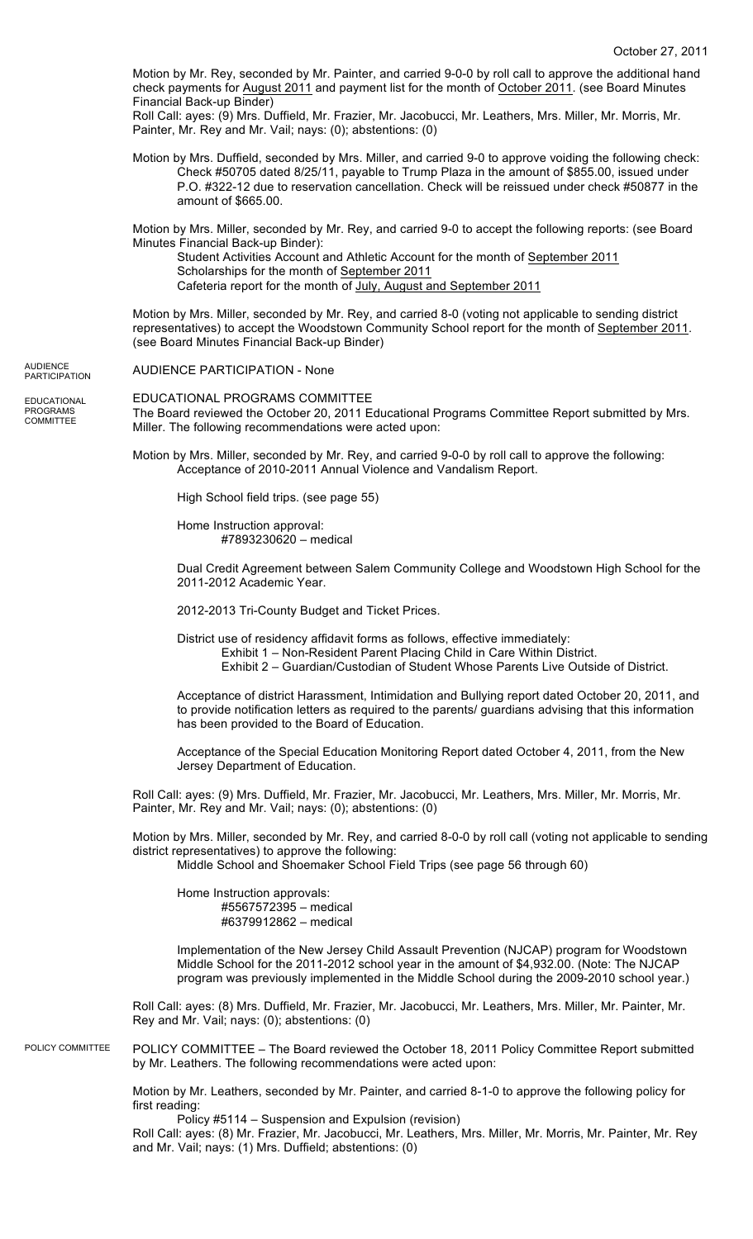Motion by Mr. Rey, seconded by Mr. Painter, and carried 9-0-0 by roll call to approve the additional hand check payments for August 2011 and payment list for the month of October 2011. (see Board Minutes Financial Back-up Binder)

Roll Call: ayes: (9) Mrs. Duffield, Mr. Frazier, Mr. Jacobucci, Mr. Leathers, Mrs. Miller, Mr. Morris, Mr. Painter, Mr. Rey and Mr. Vail; nays: (0); abstentions: (0)

Motion by Mrs. Duffield, seconded by Mrs. Miller, and carried 9-0 to approve voiding the following check: Check #50705 dated 8/25/11, payable to Trump Plaza in the amount of \$855.00, issued under P.O. #322-12 due to reservation cancellation. Check will be reissued under check #50877 in the amount of \$665.00.

Motion by Mrs. Miller, seconded by Mr. Rey, and carried 9-0 to accept the following reports: (see Board Minutes Financial Back-up Binder):

Student Activities Account and Athletic Account for the month of September 2011 Scholarships for the month of September 2011 Cafeteria report for the month of July, August and September 2011

Motion by Mrs. Miller, seconded by Mr. Rey, and carried 8-0 (voting not applicable to sending district representatives) to accept the Woodstown Community School report for the month of September 2011. (see Board Minutes Financial Back-up Binder)

AUDIENCE PARTICIPATION - None **AUDIENCE PARTICIPATION** 

EDUCATIONAL PROGRAMS **COMMITTEE** 

EDUCATIONAL PROGRAMS COMMITTEE The Board reviewed the October 20, 2011 Educational Programs Committee Report submitted by Mrs. Miller. The following recommendations were acted upon:

Motion by Mrs. Miller, seconded by Mr. Rey, and carried 9-0-0 by roll call to approve the following: Acceptance of 2010-2011 Annual Violence and Vandalism Report.

High School field trips. (see page 55)

Home Instruction approval: #7893230620 – medical

Dual Credit Agreement between Salem Community College and Woodstown High School for the 2011-2012 Academic Year.

2012-2013 Tri-County Budget and Ticket Prices.

District use of residency affidavit forms as follows, effective immediately: Exhibit 1 – Non-Resident Parent Placing Child in Care Within District. Exhibit 2 – Guardian/Custodian of Student Whose Parents Live Outside of District.

Acceptance of district Harassment, Intimidation and Bullying report dated October 20, 2011, and to provide notification letters as required to the parents/ guardians advising that this information has been provided to the Board of Education.

Acceptance of the Special Education Monitoring Report dated October 4, 2011, from the New Jersey Department of Education.

Roll Call: ayes: (9) Mrs. Duffield, Mr. Frazier, Mr. Jacobucci, Mr. Leathers, Mrs. Miller, Mr. Morris, Mr. Painter, Mr. Rey and Mr. Vail; nays: (0); abstentions: (0)

Motion by Mrs. Miller, seconded by Mr. Rey, and carried 8-0-0 by roll call (voting not applicable to sending district representatives) to approve the following:

Middle School and Shoemaker School Field Trips (see page 56 through 60)

Home Instruction approvals: #5567572395 – medical #6379912862 – medical

Implementation of the New Jersey Child Assault Prevention (NJCAP) program for Woodstown Middle School for the 2011-2012 school year in the amount of \$4,932.00. (Note: The NJCAP program was previously implemented in the Middle School during the 2009-2010 school year.)

Roll Call: ayes: (8) Mrs. Duffield, Mr. Frazier, Mr. Jacobucci, Mr. Leathers, Mrs. Miller, Mr. Painter, Mr. Rey and Mr. Vail; nays: (0); abstentions: (0)

POLICY COMMITTEE – The Board reviewed the October 18, 2011 Policy Committee Report submitted by Mr. Leathers. The following recommendations were acted upon: POLICY COMMITTEE

> Motion by Mr. Leathers, seconded by Mr. Painter, and carried 8-1-0 to approve the following policy for first reading:

Policy #5114 – Suspension and Expulsion (revision) Roll Call: ayes: (8) Mr. Frazier, Mr. Jacobucci, Mr. Leathers, Mrs. Miller, Mr. Morris, Mr. Painter, Mr. Rey and Mr. Vail; nays: (1) Mrs. Duffield; abstentions: (0)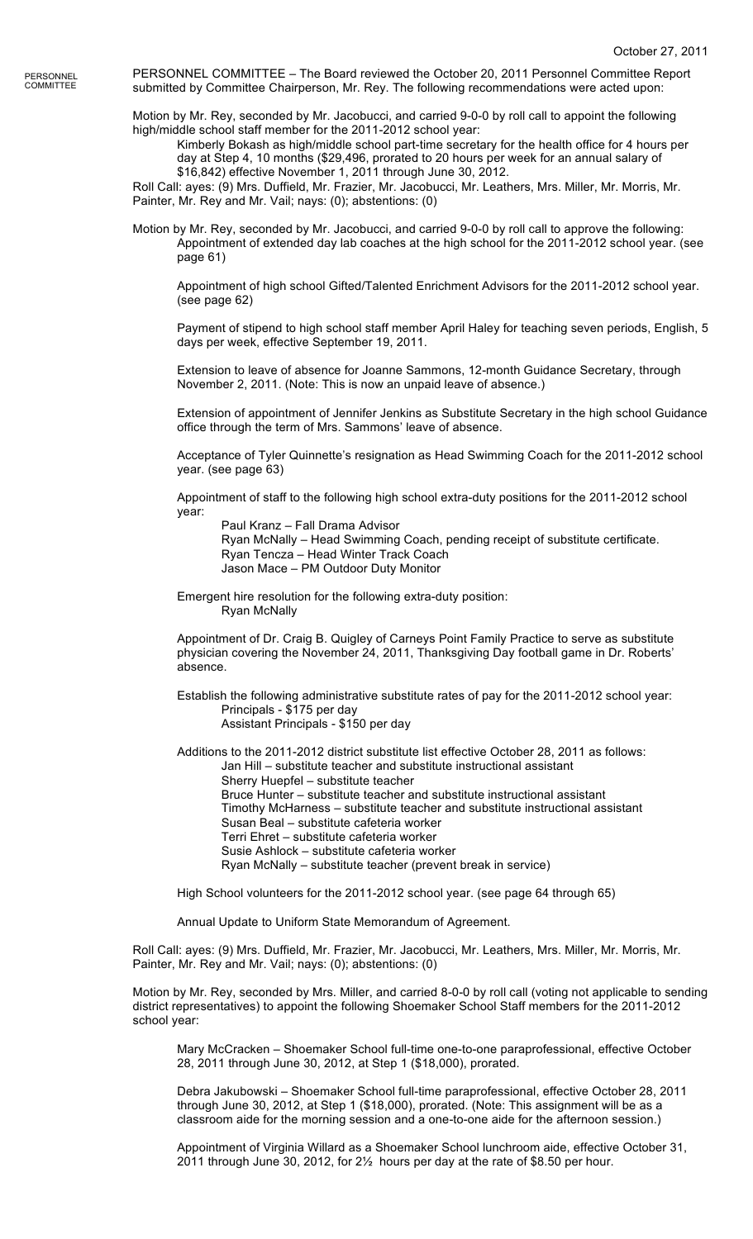PERSONNEL COMMITTEE – The Board reviewed the October 20, 2011 Personnel Committee Report submitted by Committee Chairperson, Mr. Rey. The following recommendations were acted upon:

Motion by Mr. Rey, seconded by Mr. Jacobucci, and carried 9-0-0 by roll call to appoint the following high/middle school staff member for the 2011-2012 school year:

Kimberly Bokash as high/middle school part-time secretary for the health office for 4 hours per day at Step 4, 10 months (\$29,496, prorated to 20 hours per week for an annual salary of \$16,842) effective November 1, 2011 through June 30, 2012.

Roll Call: ayes: (9) Mrs. Duffield, Mr. Frazier, Mr. Jacobucci, Mr. Leathers, Mrs. Miller, Mr. Morris, Mr. Painter, Mr. Rey and Mr. Vail; nays: (0); abstentions: (0)

Motion by Mr. Rey, seconded by Mr. Jacobucci, and carried 9-0-0 by roll call to approve the following: Appointment of extended day lab coaches at the high school for the 2011-2012 school year. (see page 61)

Appointment of high school Gifted/Talented Enrichment Advisors for the 2011-2012 school year. (see page 62)

Payment of stipend to high school staff member April Haley for teaching seven periods, English, 5 days per week, effective September 19, 2011.

Extension to leave of absence for Joanne Sammons, 12-month Guidance Secretary, through November 2, 2011. (Note: This is now an unpaid leave of absence.)

Extension of appointment of Jennifer Jenkins as Substitute Secretary in the high school Guidance office through the term of Mrs. Sammons' leave of absence.

Acceptance of Tyler Quinnette's resignation as Head Swimming Coach for the 2011-2012 school year. (see page 63)

Appointment of staff to the following high school extra-duty positions for the 2011-2012 school year:

Paul Kranz – Fall Drama Advisor Ryan McNally – Head Swimming Coach, pending receipt of substitute certificate. Ryan Tencza – Head Winter Track Coach Jason Mace – PM Outdoor Duty Monitor

Emergent hire resolution for the following extra-duty position: Ryan McNally

Appointment of Dr. Craig B. Quigley of Carneys Point Family Practice to serve as substitute physician covering the November 24, 2011, Thanksgiving Day football game in Dr. Roberts' absence.

Establish the following administrative substitute rates of pay for the 2011-2012 school year: Principals - \$175 per day Assistant Principals - \$150 per day

Additions to the 2011-2012 district substitute list effective October 28, 2011 as follows: Jan Hill – substitute teacher and substitute instructional assistant Sherry Huepfel – substitute teacher Bruce Hunter – substitute teacher and substitute instructional assistant Timothy McHarness – substitute teacher and substitute instructional assistant Susan Beal – substitute cafeteria worker Terri Ehret – substitute cafeteria worker Susie Ashlock – substitute cafeteria worker Ryan McNally – substitute teacher (prevent break in service)

High School volunteers for the 2011-2012 school year. (see page 64 through 65)

Annual Update to Uniform State Memorandum of Agreement.

Roll Call: ayes: (9) Mrs. Duffield, Mr. Frazier, Mr. Jacobucci, Mr. Leathers, Mrs. Miller, Mr. Morris, Mr. Painter, Mr. Rey and Mr. Vail; nays: (0); abstentions: (0)

Motion by Mr. Rey, seconded by Mrs. Miller, and carried 8-0-0 by roll call (voting not applicable to sending district representatives) to appoint the following Shoemaker School Staff members for the 2011-2012 school year:

Mary McCracken – Shoemaker School full-time one-to-one paraprofessional, effective October 28, 2011 through June 30, 2012, at Step 1 (\$18,000), prorated.

Debra Jakubowski – Shoemaker School full-time paraprofessional, effective October 28, 2011 through June 30, 2012, at Step 1 (\$18,000), prorated. (Note: This assignment will be as a classroom aide for the morning session and a one-to-one aide for the afternoon session.)

Appointment of Virginia Willard as a Shoemaker School lunchroom aide, effective October 31, 2011 through June 30, 2012, for 2½ hours per day at the rate of \$8.50 per hour.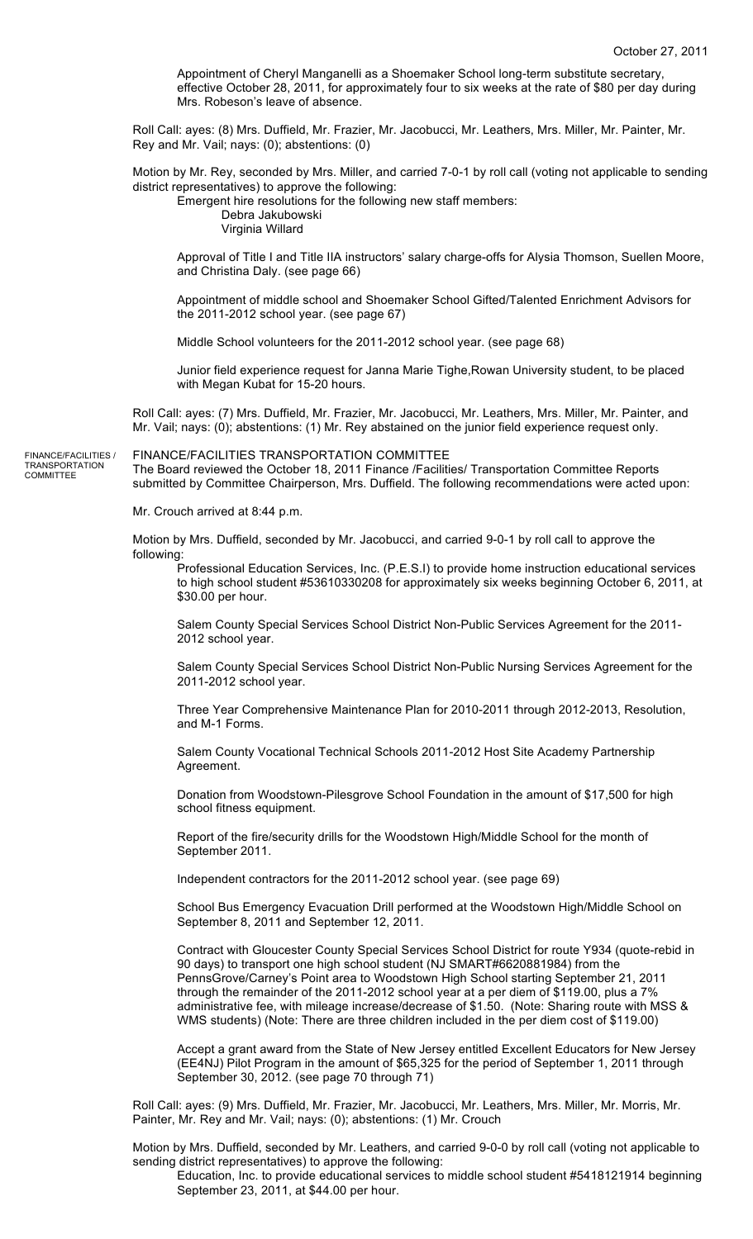Appointment of Cheryl Manganelli as a Shoemaker School long-term substitute secretary, effective October 28, 2011, for approximately four to six weeks at the rate of \$80 per day during Mrs. Robeson's leave of absence.

Roll Call: ayes: (8) Mrs. Duffield, Mr. Frazier, Mr. Jacobucci, Mr. Leathers, Mrs. Miller, Mr. Painter, Mr. Rey and Mr. Vail; nays: (0); abstentions: (0)

Motion by Mr. Rey, seconded by Mrs. Miller, and carried 7-0-1 by roll call (voting not applicable to sending district representatives) to approve the following:

Emergent hire resolutions for the following new staff members: Debra Jakubowski Virginia Willard

Approval of Title I and Title IIA instructors' salary charge-offs for Alysia Thomson, Suellen Moore, and Christina Daly. (see page 66)

Appointment of middle school and Shoemaker School Gifted/Talented Enrichment Advisors for the 2011-2012 school year. (see page 67)

Middle School volunteers for the 2011-2012 school year. (see page 68)

Junior field experience request for Janna Marie Tighe,Rowan University student, to be placed with Megan Kubat for 15-20 hours.

Roll Call: ayes: (7) Mrs. Duffield, Mr. Frazier, Mr. Jacobucci, Mr. Leathers, Mrs. Miller, Mr. Painter, and Mr. Vail; nays: (0); abstentions: (1) Mr. Rey abstained on the junior field experience request only.

FINANCE/FACILITIES / TRANSPORTATION COMMITTEE

FINANCE/FACILITIES TRANSPORTATION COMMITTEE The Board reviewed the October 18, 2011 Finance /Facilities/ Transportation Committee Reports submitted by Committee Chairperson, Mrs. Duffield. The following recommendations were acted upon:

Mr. Crouch arrived at 8:44 p.m.

Motion by Mrs. Duffield, seconded by Mr. Jacobucci, and carried 9-0-1 by roll call to approve the following:

Professional Education Services, Inc. (P.E.S.I) to provide home instruction educational services to high school student #53610330208 for approximately six weeks beginning October 6, 2011, at \$30.00 per hour.

Salem County Special Services School District Non-Public Services Agreement for the 2011- 2012 school year.

Salem County Special Services School District Non-Public Nursing Services Agreement for the 2011-2012 school year.

Three Year Comprehensive Maintenance Plan for 2010-2011 through 2012-2013, Resolution, and M-1 Forms.

Salem County Vocational Technical Schools 2011-2012 Host Site Academy Partnership Agreement.

Donation from Woodstown-Pilesgrove School Foundation in the amount of \$17,500 for high school fitness equipment.

Report of the fire/security drills for the Woodstown High/Middle School for the month of September 2011.

Independent contractors for the 2011-2012 school year. (see page 69)

School Bus Emergency Evacuation Drill performed at the Woodstown High/Middle School on September 8, 2011 and September 12, 2011.

Contract with Gloucester County Special Services School District for route Y934 (quote-rebid in 90 days) to transport one high school student (NJ SMART#6620881984) from the PennsGrove/Carney's Point area to Woodstown High School starting September 21, 2011 through the remainder of the 2011-2012 school year at a per diem of \$119.00, plus a 7% administrative fee, with mileage increase/decrease of \$1.50. (Note: Sharing route with MSS & WMS students) (Note: There are three children included in the per diem cost of \$119.00)

Accept a grant award from the State of New Jersey entitled Excellent Educators for New Jersey (EE4NJ) Pilot Program in the amount of \$65,325 for the period of September 1, 2011 through September 30, 2012. (see page 70 through 71)

Roll Call: ayes: (9) Mrs. Duffield, Mr. Frazier, Mr. Jacobucci, Mr. Leathers, Mrs. Miller, Mr. Morris, Mr. Painter, Mr. Rey and Mr. Vail; nays: (0); abstentions: (1) Mr. Crouch

Motion by Mrs. Duffield, seconded by Mr. Leathers, and carried 9-0-0 by roll call (voting not applicable to sending district representatives) to approve the following:

Education, Inc. to provide educational services to middle school student #5418121914 beginning September 23, 2011, at \$44.00 per hour.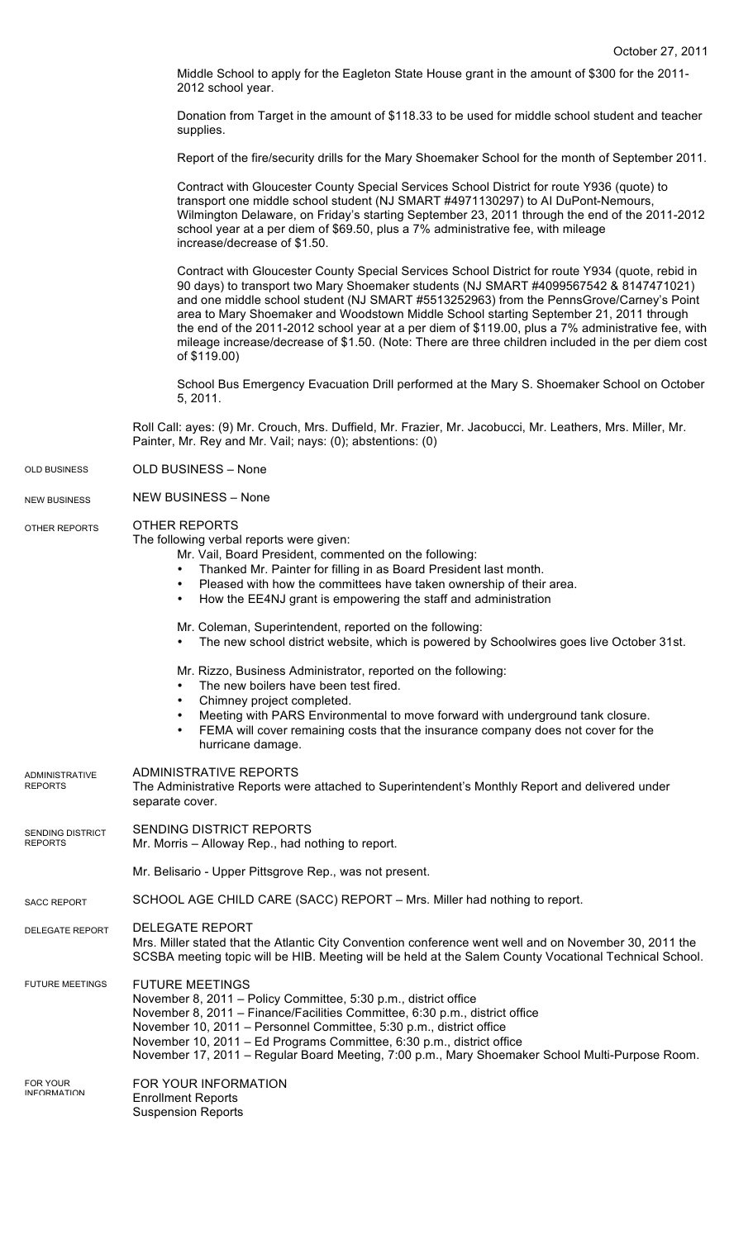Middle School to apply for the Eagleton State House grant in the amount of \$300 for the 2011- 2012 school year.

Donation from Target in the amount of \$118.33 to be used for middle school student and teacher supplies.

Report of the fire/security drills for the Mary Shoemaker School for the month of September 2011.

|                                           | Contract with Gloucester County Special Services School District for route Y936 (quote) to<br>transport one middle school student (NJ SMART #4971130297) to Al DuPont-Nemours,<br>Wilmington Delaware, on Friday's starting September 23, 2011 through the end of the 2011-2012<br>school year at a per diem of \$69.50, plus a 7% administrative fee, with mileage<br>increase/decrease of \$1.50.                                                                                                                                                                                                        |  |
|-------------------------------------------|------------------------------------------------------------------------------------------------------------------------------------------------------------------------------------------------------------------------------------------------------------------------------------------------------------------------------------------------------------------------------------------------------------------------------------------------------------------------------------------------------------------------------------------------------------------------------------------------------------|--|
|                                           | Contract with Gloucester County Special Services School District for route Y934 (quote, rebid in<br>90 days) to transport two Mary Shoemaker students (NJ SMART #4099567542 & 8147471021)<br>and one middle school student (NJ SMART #5513252963) from the PennsGrove/Carney's Point<br>area to Mary Shoemaker and Woodstown Middle School starting September 21, 2011 through<br>the end of the 2011-2012 school year at a per diem of \$119.00, plus a 7% administrative fee, with<br>mileage increase/decrease of \$1.50. (Note: There are three children included in the per diem cost<br>of \$119.00) |  |
|                                           | School Bus Emergency Evacuation Drill performed at the Mary S. Shoemaker School on October<br>5, 2011.                                                                                                                                                                                                                                                                                                                                                                                                                                                                                                     |  |
|                                           | Roll Call: ayes: (9) Mr. Crouch, Mrs. Duffield, Mr. Frazier, Mr. Jacobucci, Mr. Leathers, Mrs. Miller, Mr.<br>Painter, Mr. Rey and Mr. Vail; nays: (0); abstentions: (0)                                                                                                                                                                                                                                                                                                                                                                                                                                   |  |
| <b>OLD BUSINESS</b>                       | OLD BUSINESS - None                                                                                                                                                                                                                                                                                                                                                                                                                                                                                                                                                                                        |  |
| <b>NEW BUSINESS</b>                       | <b>NEW BUSINESS - None</b>                                                                                                                                                                                                                                                                                                                                                                                                                                                                                                                                                                                 |  |
| OTHER REPORTS                             | OTHER REPORTS<br>The following verbal reports were given:<br>Mr. Vail, Board President, commented on the following:<br>Thanked Mr. Painter for filling in as Board President last month.<br>Pleased with how the committees have taken ownership of their area.<br>How the EE4NJ grant is empowering the staff and administration                                                                                                                                                                                                                                                                          |  |
|                                           | Mr. Coleman, Superintendent, reported on the following:<br>The new school district website, which is powered by Schoolwires goes live October 31st.                                                                                                                                                                                                                                                                                                                                                                                                                                                        |  |
|                                           | Mr. Rizzo, Business Administrator, reported on the following:<br>The new boilers have been test fired.<br>$\bullet$<br>Chimney project completed.<br>Meeting with PARS Environmental to move forward with underground tank closure.<br>FEMA will cover remaining costs that the insurance company does not cover for the<br>hurricane damage.                                                                                                                                                                                                                                                              |  |
| <b>ADMINISTRATIVE</b><br><b>REPORTS</b>   | <b>ADMINISTRATIVE REPORTS</b><br>The Administrative Reports were attached to Superintendent's Monthly Report and delivered under<br>separate cover.                                                                                                                                                                                                                                                                                                                                                                                                                                                        |  |
| <b>SENDING DISTRICT</b><br><b>REPORTS</b> | SENDING DISTRICT REPORTS<br>Mr. Morris - Alloway Rep., had nothing to report.                                                                                                                                                                                                                                                                                                                                                                                                                                                                                                                              |  |
|                                           | Mr. Belisario - Upper Pittsgrove Rep., was not present.                                                                                                                                                                                                                                                                                                                                                                                                                                                                                                                                                    |  |
| <b>SACC REPORT</b>                        | SCHOOL AGE CHILD CARE (SACC) REPORT - Mrs. Miller had nothing to report.                                                                                                                                                                                                                                                                                                                                                                                                                                                                                                                                   |  |
| DELEGATE REPORT                           | <b>DELEGATE REPORT</b><br>Mrs. Miller stated that the Atlantic City Convention conference went well and on November 30, 2011 the<br>SCSBA meeting topic will be HIB. Meeting will be held at the Salem County Vocational Technical School.                                                                                                                                                                                                                                                                                                                                                                 |  |
| <b>FUTURE MEETINGS</b>                    | <b>FUTURE MEETINGS</b><br>November 8, 2011 - Policy Committee, 5:30 p.m., district office<br>November 8, 2011 - Finance/Facilities Committee, 6:30 p.m., district office<br>November 10, 2011 - Personnel Committee, 5:30 p.m., district office<br>November 10, 2011 - Ed Programs Committee, 6:30 p.m., district office<br>November 17, 2011 – Regular Board Meeting, 7:00 p.m., Mary Shoemaker School Multi-Purpose Room.                                                                                                                                                                                |  |
| <b>FOR YOUR</b><br><b>INFORMATION</b>     | FOR YOUR INFORMATION<br><b>Enrollment Reports</b><br><b>Suspension Reports</b>                                                                                                                                                                                                                                                                                                                                                                                                                                                                                                                             |  |